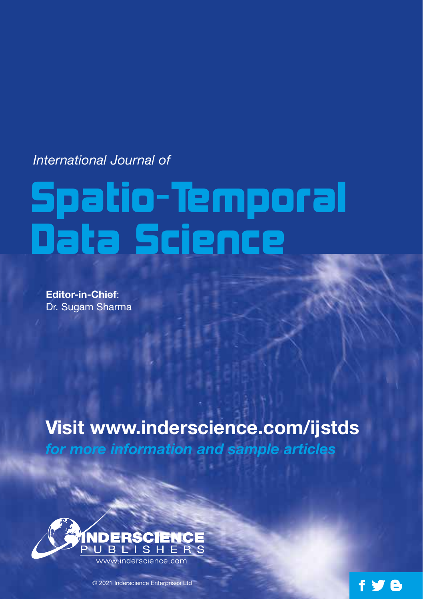*International Journal of*

# Spatio-Temporal Data Science

**Editor-in-Chief**: Dr. Sugam Sharma

**Visit www.inderscience.com/ijstds** *for more information and sample articles*



© 2021 Inderscience Enterprises Ltd